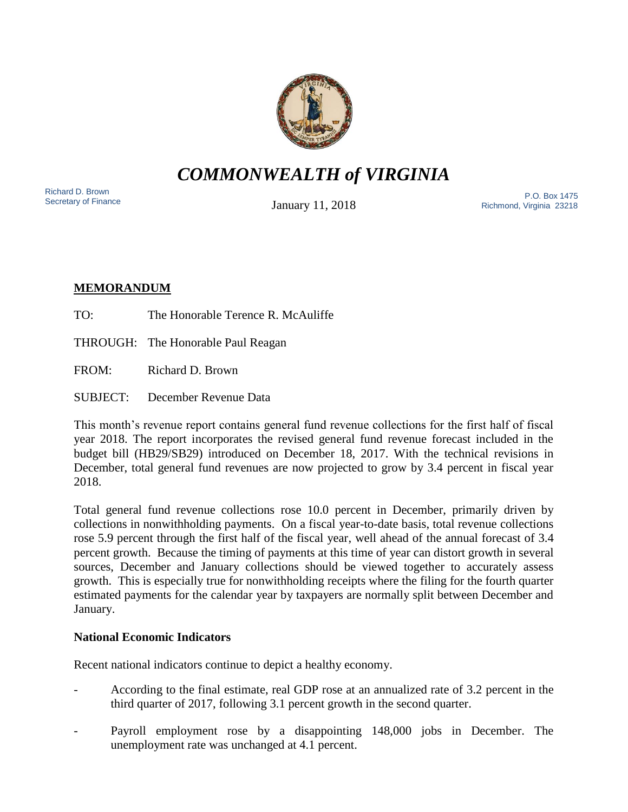

# *COMMONWEALTH of VIRGINIA*

Richard D. Brown<br>Secretary of Finance

January 11, 2018

Richard D. Brown<br>Secretary of Finance **P.O. Box 1475**<br>Secretary of Finance **Property 11 OCCU** Discussion of Pichmond Virginia 23219 Richmond, Virginia 23218

## **MEMORANDUM**

TO: The Honorable Terence R. McAuliffe

THROUGH: The Honorable Paul Reagan

FROM: Richard D. Brown

SUBJECT: December Revenue Data

This month's revenue report contains general fund revenue collections for the first half of fiscal year 2018. The report incorporates the revised general fund revenue forecast included in the budget bill (HB29/SB29) introduced on December 18, 2017. With the technical revisions in December, total general fund revenues are now projected to grow by 3.4 percent in fiscal year 2018.

Total general fund revenue collections rose 10.0 percent in December, primarily driven by collections in nonwithholding payments. On a fiscal year-to-date basis, total revenue collections rose 5.9 percent through the first half of the fiscal year, well ahead of the annual forecast of 3.4 percent growth. Because the timing of payments at this time of year can distort growth in several sources, December and January collections should be viewed together to accurately assess growth. This is especially true for nonwithholding receipts where the filing for the fourth quarter estimated payments for the calendar year by taxpayers are normally split between December and January.

## **National Economic Indicators**

Recent national indicators continue to depict a healthy economy.

- According to the final estimate, real GDP rose at an annualized rate of 3.2 percent in the third quarter of 2017, following 3.1 percent growth in the second quarter.
- Payroll employment rose by a disappointing 148,000 jobs in December. The unemployment rate was unchanged at 4.1 percent.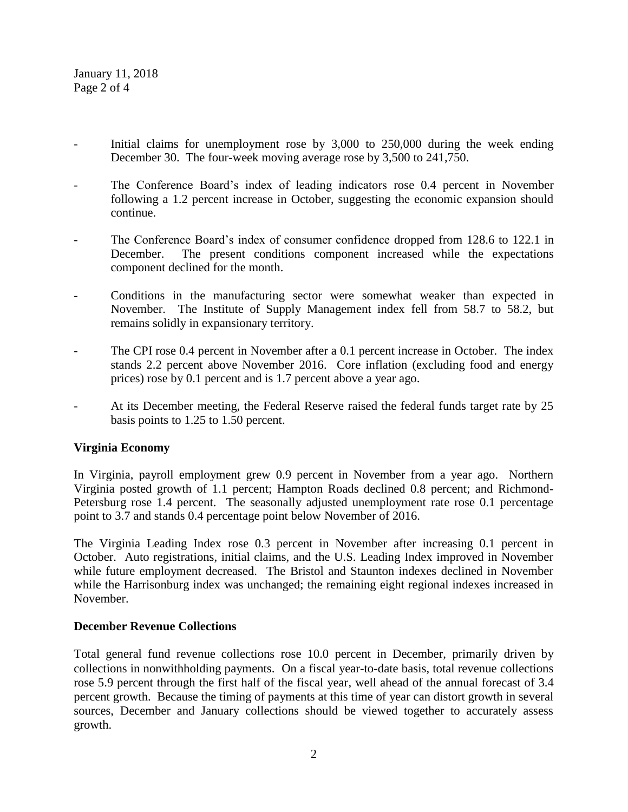January 11, 2018 Page 2 of 4

- Initial claims for unemployment rose by 3,000 to 250,000 during the week ending December 30. The four-week moving average rose by 3,500 to 241,750.
- The Conference Board's index of leading indicators rose 0.4 percent in November following a 1.2 percent increase in October, suggesting the economic expansion should continue.
- The Conference Board's index of consumer confidence dropped from 128.6 to 122.1 in December. The present conditions component increased while the expectations component declined for the month.
- Conditions in the manufacturing sector were somewhat weaker than expected in November. The Institute of Supply Management index fell from 58.7 to 58.2, but remains solidly in expansionary territory.
- The CPI rose 0.4 percent in November after a 0.1 percent increase in October. The index stands 2.2 percent above November 2016. Core inflation (excluding food and energy prices) rose by 0.1 percent and is 1.7 percent above a year ago.
- At its December meeting, the Federal Reserve raised the federal funds target rate by 25 basis points to 1.25 to 1.50 percent.

### **Virginia Economy**

In Virginia, payroll employment grew 0.9 percent in November from a year ago. Northern Virginia posted growth of 1.1 percent; Hampton Roads declined 0.8 percent; and Richmond-Petersburg rose 1.4 percent. The seasonally adjusted unemployment rate rose 0.1 percentage point to 3.7 and stands 0.4 percentage point below November of 2016.

The Virginia Leading Index rose 0.3 percent in November after increasing 0.1 percent in October. Auto registrations, initial claims, and the U.S. Leading Index improved in November while future employment decreased. The Bristol and Staunton indexes declined in November while the Harrisonburg index was unchanged; the remaining eight regional indexes increased in November.

### **December Revenue Collections**

Total general fund revenue collections rose 10.0 percent in December, primarily driven by collections in nonwithholding payments. On a fiscal year-to-date basis, total revenue collections rose 5.9 percent through the first half of the fiscal year, well ahead of the annual forecast of 3.4 percent growth. Because the timing of payments at this time of year can distort growth in several sources, December and January collections should be viewed together to accurately assess growth.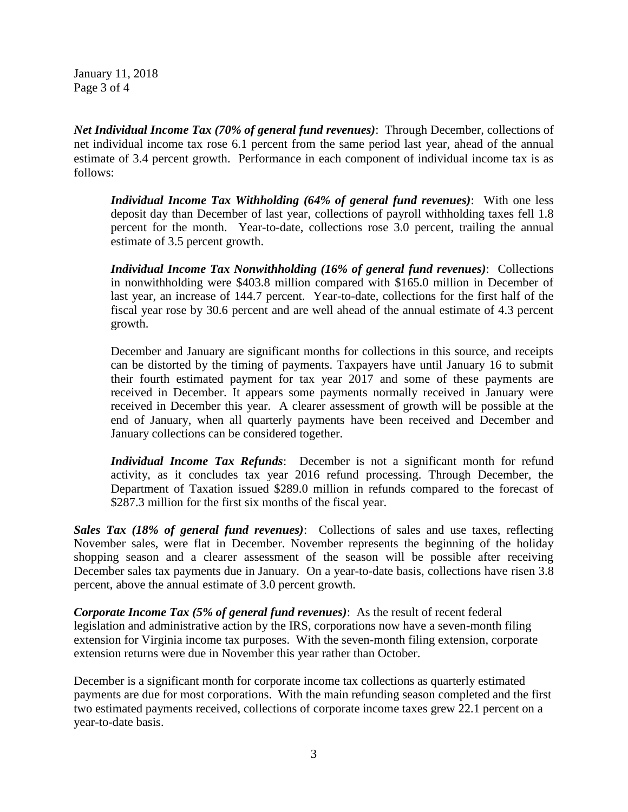January 11, 2018 Page 3 of 4

*Net Individual Income Tax (70% of general fund revenues)*: Through December, collections of net individual income tax rose 6.1 percent from the same period last year, ahead of the annual estimate of 3.4 percent growth. Performance in each component of individual income tax is as follows:

*Individual Income Tax Withholding (64% of general fund revenues)*: With one less deposit day than December of last year, collections of payroll withholding taxes fell 1.8 percent for the month. Year-to-date, collections rose 3.0 percent, trailing the annual estimate of 3.5 percent growth.

*Individual Income Tax Nonwithholding (16% of general fund revenues)*: Collections in nonwithholding were \$403.8 million compared with \$165.0 million in December of last year, an increase of 144.7 percent. Year-to-date, collections for the first half of the fiscal year rose by 30.6 percent and are well ahead of the annual estimate of 4.3 percent growth.

December and January are significant months for collections in this source, and receipts can be distorted by the timing of payments. Taxpayers have until January 16 to submit their fourth estimated payment for tax year 2017 and some of these payments are received in December. It appears some payments normally received in January were received in December this year. A clearer assessment of growth will be possible at the end of January, when all quarterly payments have been received and December and January collections can be considered together.

*Individual Income Tax Refunds*: December is not a significant month for refund activity, as it concludes tax year 2016 refund processing. Through December, the Department of Taxation issued \$289.0 million in refunds compared to the forecast of \$287.3 million for the first six months of the fiscal year.

*Sales Tax (18% of general fund revenues)*: Collections of sales and use taxes, reflecting November sales, were flat in December. November represents the beginning of the holiday shopping season and a clearer assessment of the season will be possible after receiving December sales tax payments due in January. On a year-to-date basis, collections have risen 3.8 percent, above the annual estimate of 3.0 percent growth.

*Corporate Income Tax (5% of general fund revenues)*: As the result of recent federal legislation and administrative action by the IRS, corporations now have a seven-month filing extension for Virginia income tax purposes. With the seven-month filing extension, corporate extension returns were due in November this year rather than October.

December is a significant month for corporate income tax collections as quarterly estimated payments are due for most corporations. With the main refunding season completed and the first two estimated payments received, collections of corporate income taxes grew 22.1 percent on a year-to-date basis.